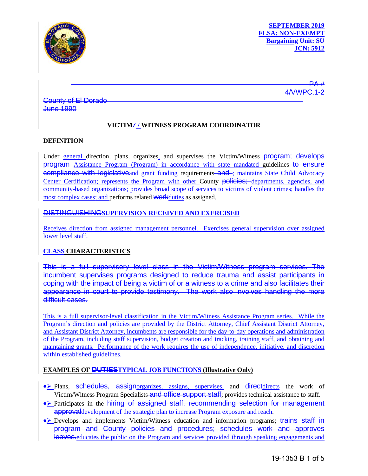

PA # 4/WPC.1

County of El Dorado June 1990

# **VICTIM/ / WITNESS PROGRAM COORDINATOR**

### **DEFINITION**

Under general direction, plans, organizes, and supervises the Victim/Witness **program**; develops program Assistance Program (Program) in accordance with state mandated guidelines to ensure compliance with legislative and grant funding requirements and ; maintains State Child Advocacy Center Certification; represents the Program with other County policies; departments, agencies, and community-based organizations; provides broad scope of services to victims of violent crimes; handles the most complex cases; and performs related **WORK** duties as assigned.

# DISTINGUISHING**SUPERVISION RECEIVED AND EXERCISED**

Receives direction from assigned management personnel. Exercises general supervision over assigned lower level staff.

## **CLASS CHARACTERISTICS**

This is a full supervisory level class in the Victim/Witness program services. The incumbent supervises programs designed to reduce trauma and assist participants in coping with the impact of being a victim of or a witness to a crime and also facilitates their appearance in court to provide testimony. The work also involves handling the more difficult cases.

This is a full supervisor-level classification in the Victim/Witness Assistance Program series. While the Program's direction and policies are provided by the District Attorney, Chief Assistant District Attorney, and Assistant District Attorney, incumbents are responsible for the day-to-day operations and administration of the Program, including staff supervision, budget creation and tracking, training staff, and obtaining and maintaining grants. Performance of the work requires the use of independence, initiative, and discretion within established guidelines.

### **EXAMPLES OF DUTIESTYPICAL JOB FUNCTIONS (Illustrative Only)**

- Plans, schedules, assignorganizes, assigns, supervises, and directdirects the work of Victim/Witness Program Specialists–and office support staff; provides technical assistance to staff.
- Participates in the hiring of assigned staff, recommending selection for management approval development of the strategic plan to increase Program exposure and reach.
- Develops and implements Victim/Witness education and information programs; trains staff in program and County policies and procedures; schedules work and approves leaves. educates the public on the Program and services provided through speaking engagements and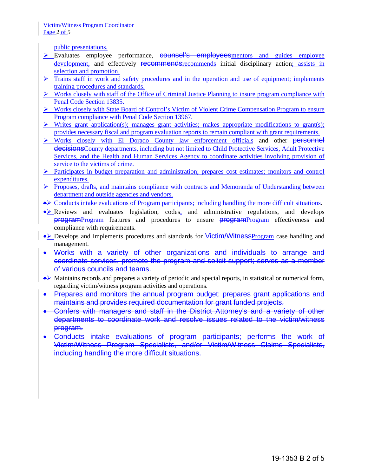public presentations.

- Evaluates employee performance, **counsel's employees** mentors and guides employee development, and effectively **recommends** recommends initial disciplinary action; assists in selection and promotion.
- $\triangleright$  Trains staff in work and safety procedures and in the operation and use of equipment; implements training procedures and standards.
- $\triangleright$  Works closely with staff of the Office of Criminal Justice Planning to insure program compliance with Penal Code Section 13835.
- Works closely with State Board of Control's Victim of Violent Crime Compensation Program to ensure Program compliance with Penal Code Section 13967.
- $\triangleright$  Writes grant application(s); manages grant activities; makes appropriate modifications to grant(s); provides necessary fiscal and program evaluation reports to remain compliant with grant requirements.
- > Works closely with El Dorado County law enforcement officials and other personnel decisionsCounty departments, including but not limited to Child Protective Services, Adult Protective Services, and the Health and Human Services Agency to coordinate activities involving provision of service to the victims of crime.
- **Participates in budget preparation and administration; prepares cost estimates; monitors and control** expenditures.
- Proposes, drafts, and maintains compliance with contracts and Memoranda of Understanding between department and outside agencies and vendors.
- Conducts intake evaluations of Program participants; including handling the more difficult situations.
- Reviews and evaluates legislation, codes, and administrative regulations, and develops **programProgram** features and procedures to ensure **programProgram** effectiveness and compliance with requirements.
- Develops and implements procedures and standards for Victim/WitnessProgram case handling and management.
- Works with a variety of other organizations and individuals to arrange and coordinate services, promote the program and solicit support; serves as a member of various councils and teams.
- Maintains records and prepares a variety of periodic and special reports, in statistical or numerical form, regarding victim/witness program activities and operations.
- Prepares and monitors the annual program budget; prepares grant applications and maintains and provides required documentation for grant funded projects.
- Confers with managers and staff in the District Attorney's and a variety of other departments to coordinate work and resolve issues related to the victim/witness program.
- Conducts intake evaluations of program participants; performs the work of Victim/Witness Program Specialists, and/or Victim/Witness Claims Specialists, including handling the more difficult situations.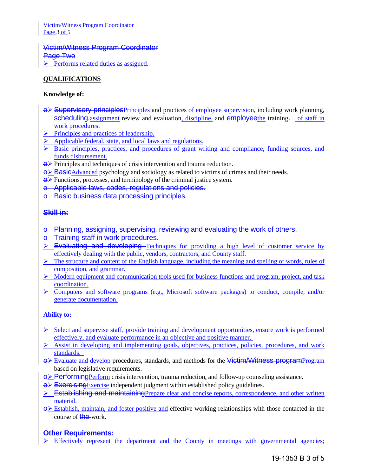Victim/Witness Program Coordinator Page 3 of 5

Victim/Witness Program Coordinator Page Two  $\triangleright$  Performs related duties as assigned.

## **QUALIFICATIONS**

### **Knowledge of:**

- $\Theta$  Supervisory principles Principles and practices of employee supervision, including work planning, scheduling, assignment review and evaluation, discipline, and employeethe training. of staff in work procedures.
- Principles and practices of leadership.
- $\triangleright$  Applicable federal, state, and local laws and regulations.
- $\triangleright$  Basic principles, practices, and procedures of grant writing and compliance, funding sources, and funds disbursement.
- $\Theta$  Principles and techniques of crisis intervention and trauma reduction.
- $\leftrightarrow$  BasicAdvanced psychology and sociology as related to victims of crimes and their needs.
- $\leftrightarrow$  Functions, processes, and terminology of the criminal justice system.
- o Applicable laws, codes, regulations and policies.
- o Basic business data processing principles.

### **Skill in:**

- o Planning, assigning, supervising, reviewing and evaluating the work of others.
- o Training staff in work procedures.
- $\triangleright$  Evaluating and developing Techniques for providing a high level of customer service by effectively dealing with the public, vendors, contractors, and County staff.
- $\triangleright$  The structure and content of the English language, including the meaning and spelling of words, rules of composition, and grammar.
- $\triangleright$  Modern equipment and communication tools used for business functions and program, project, and task coordination.
- $\triangleright$  Computers and software programs (e.g., Microsoft software packages) to conduct, compile, and/or generate documentation.

#### **Ability to:**

- $\triangleright$  Select and supervise staff, provide training and development opportunities, ensure work is performed effectively, and evaluate performance in an objective and positive manner.
- $\triangleright$  Assist in developing and implementing goals, objectives, practices, policies, procedures, and work standards.
- $\Theta$  Evaluate and develop procedures, standards, and methods for the Victim/Witness programProgram based on legislative requirements.
- $\Theta$  Performing Perform crisis intervention, trauma reduction, and follow-up counseling assistance.
- $\leftrightarrow$  Exercising Exercise independent judgment within established policy guidelines.
- $\triangleright$  Establishing and maintaining Prepare clear and concise reports, correspondence, and other written material.
- $\Theta$  Establish, maintain, and foster positive and effective working relationships with those contacted in the course of the work.

### **Other Requirements:**

 $\triangleright$  Effectively represent the department and the County in meetings with governmental agencies;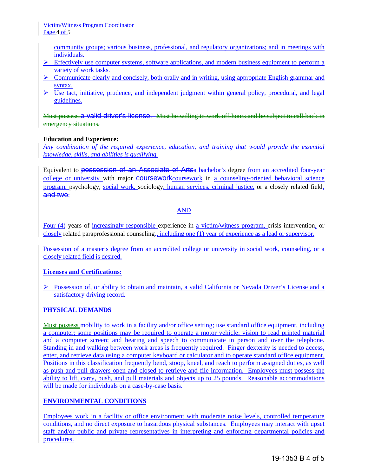community groups; various business, professional, and regulatory organizations; and in meetings with individuals.

- $\triangleright$  Effectively use computer systems, software applications, and modern business equipment to perform a variety of work tasks.
- $\triangleright$  Communicate clearly and concisely, both orally and in writing, using appropriate English grammar and syntax.
- $\triangleright$  Use tact, initiative, prudence, and independent judgment within general policy, procedural, and legal guidelines.

Must possess a valid driver's license. Must be willing to work off-hours and be subject to call-back in emergency situations.

### **Education and Experience:**

*Any combination of the required experience, education, and training that would provide the essential knowledge, skills, and abilities is qualifying.*

Equivalent to possession of an Associate of Artsa bachelor's degree from an accredited four-year college or university with major **coursework**coursework in a counseling-oriented behavioral science program, psychology, social work, sociology, human services, criminal justice, or a closely related field, and two;

### AND

Four (4) years of increasingly responsible experience in a victim/witness program, crisis intervention, or closely related paraprofessional counseling., including one (1) year of experience as a lead or supervisor.

Possession of a master's degree from an accredited college or university in social work, counseling, or a closely related field is desired.

#### **Licenses and Certifications:**

 $\triangleright$  Possession of, or ability to obtain and maintain, a valid California or Nevada Driver's License and a satisfactory driving record.

### **PHYSICAL DEMANDS**

Must possess mobility to work in a facility and/or office setting; use standard office equipment, including a computer; some positions may be required to operate a motor vehicle; vision to read printed material and a computer screen; and hearing and speech to communicate in person and over the telephone. Standing in and walking between work areas is frequently required. Finger dexterity is needed to access, enter, and retrieve data using a computer keyboard or calculator and to operate standard office equipment. Positions in this classification frequently bend, stoop, kneel, and reach to perform assigned duties, as well as push and pull drawers open and closed to retrieve and file information. Employees must possess the ability to lift, carry, push, and pull materials and objects up to 25 pounds. Reasonable accommodations will be made for individuals on a case-by-case basis.

### **ENVIRONMENTAL CONDITIONS**

Employees work in a facility or office environment with moderate noise levels, controlled temperature conditions, and no direct exposure to hazardous physical substances. Employees may interact with upset staff and/or public and private representatives in interpreting and enforcing departmental policies and procedures.